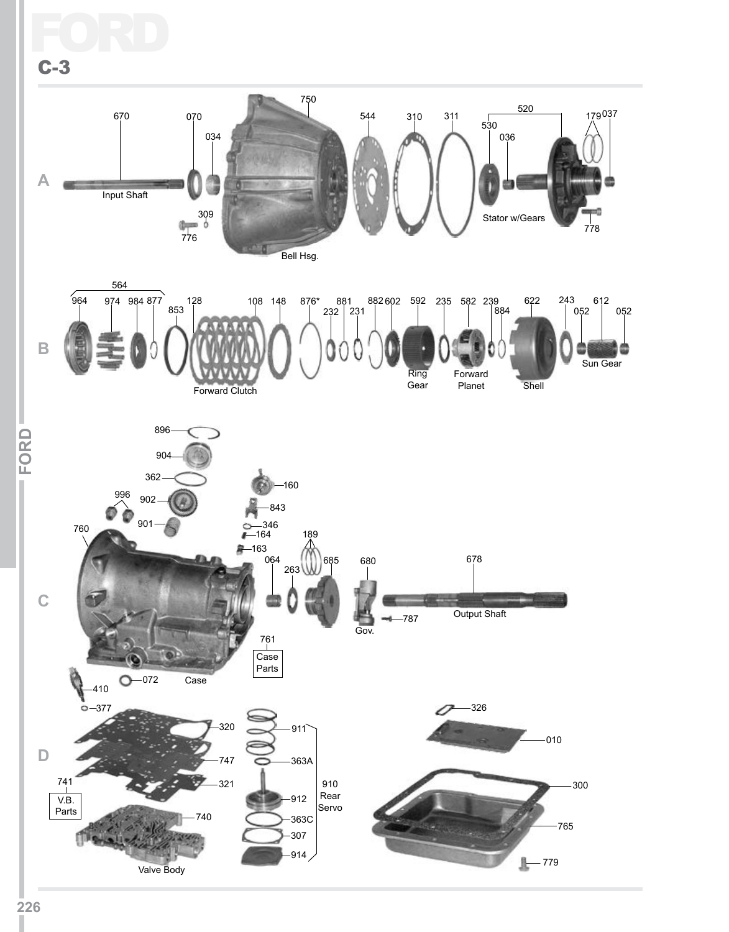Ford

C-3